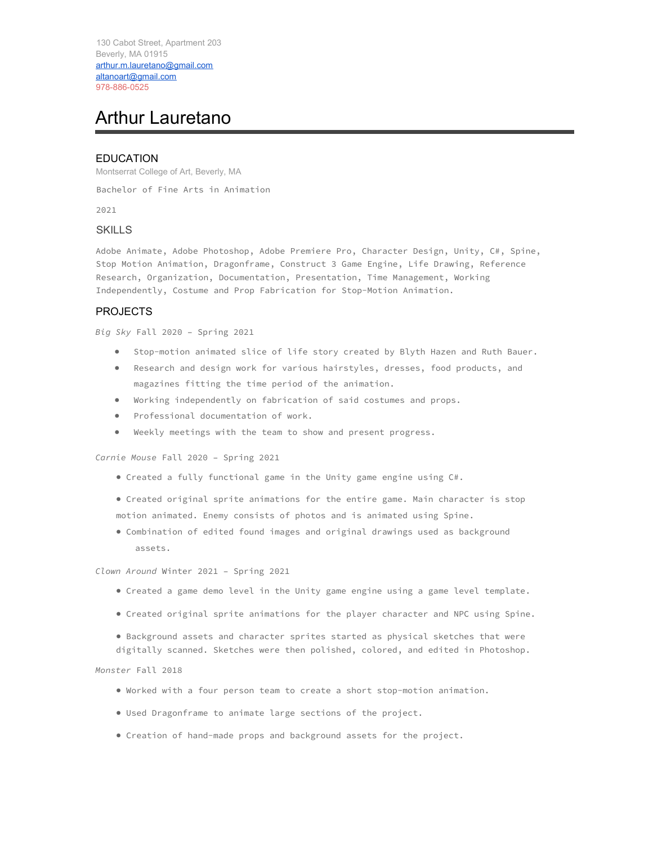130 Cabot Street, Apartment 203 Beverly, MA 01915 arthur.m.lauretano@gmail.com altanoart@gmail.com 978-886-0525

# Arthur Lauretano

## **EDUCATION**

Montserrat College of Art, Beverly, MA

Bachelor of Fine Arts in Animation

2021

#### **SKILLS**

Adobe Animate, Adobe Photoshop, Adobe Premiere Pro, Character Design, Unity, C#, Spine, Stop Motion Animation, Dragonframe, Construct 3 Game Engine, Life Drawing, Reference Research, Organization, Documentation, Presentation, Time Management, Working Independently, Costume and Prop Fabrication for Stop-Motion Animation.

### PROJECTS

*Big Sky* Fall 2020 – Spring 2021

- Stop-motion animated slice of life story created by Blyth Hazen and Ruth Bauer.
- Research and design work for various hairstyles, dresses, food products, and magazines fitting the time period of the animation.
- Working independently on fabrication of said costumes and props.
- Professional documentation of work.
- Weekly meetings with the team to show and present progress.

*Carnie Mouse* Fall 2020 – Spring 2021

- Created a fully functional game in the Unity game engine using C#.
- Created original sprite animations for the entire game. Main character is stop motion animated. Enemy consists of photos and is animated using Spine.
- Combination of edited found images and original drawings used as background assets.

*Clown Around* Winter 2021 – Spring 2021

- Created a game demo level in the Unity game engine using a game level template.
- Created original sprite animations for the player character and NPC using Spine.
- Background assets and character sprites started as physical sketches that were digitally scanned. Sketches were then polished, colored, and edited in Photoshop.

*Monster* Fall 2018

- Worked with a four person team to create a short stop-motion animation.
- Used Dragonframe to animate large sections of the project.
- Creation of hand-made props and background assets for the project.